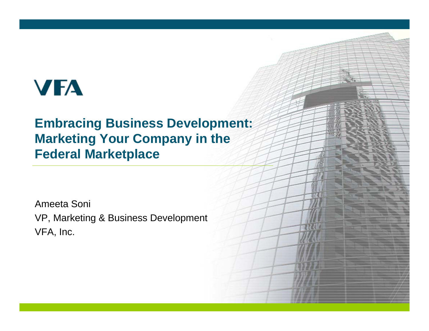# **VFA**

### **Embracing Business Development: Marketing Your Company in the Federal Marketplace**

Ameeta Soni VP, Marketing & Business Development VFA, Inc.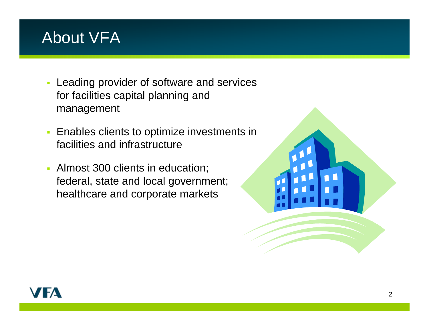### About VFA

- **Leading provider of software and services** for facilities capital planning and management
- $\blacksquare$  Enables clients to optimize investments in facilities and infrastructure
- $\blacksquare$  Almost 300 clients in education; federal, state and local government; healthcare and corporate markets



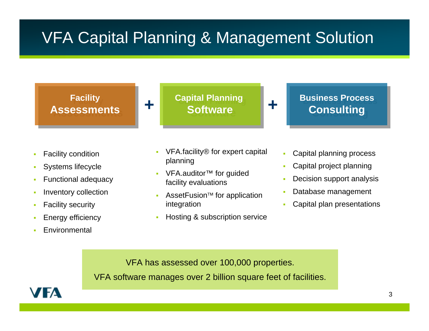### VFA Capital Planning & Management Solution

**Facility Facility AssessmentsAssessments** **Capital Planning Capital Planning Software** 

**+**

**+**

**Business Process Consulting Consulting**

- ш Facility condition
- П Systems lifecycl e
- П Functional adequacy
- ш Inventory collection
- П Facility security
- П Energy efficiency
- ш **Environmental**
- VFA.facility® for expert capital planning
- VFA.auditor<sup>™</sup> for guided facility evaluations
- AssetFusion™ for application integration
- $\mathbf{r}$ **-** Hosting & subscription service
- г Capital planning process
- г Capital project planning
- Decision support analysis
- г Database management
- Capital plan presentations

VFA has assessed over 100,000 properties.

VFA software manages over 2 billion square feet of facilities.

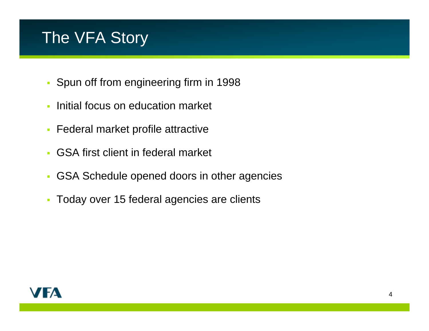### The VFA Story

- Spun off from engineering firm in 1998
- Ì. Initial focus on education market
- $\mathcal{L}_{\mathcal{A}}$ Federal market profile attractive
- Ì. GSA first client in federal market
- $\overline{\phantom{a}}$ GSA Schedule opened doors in other agencies
- $\mathcal{L}_{\mathcal{A}}$ Today over 15 federal agencies are clients

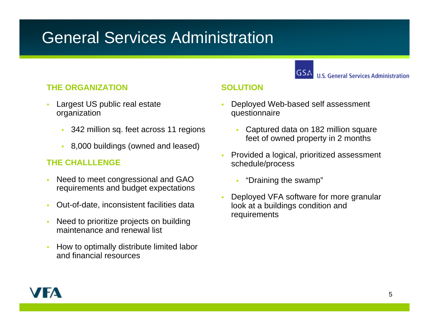### General Services Administration

**U.S. General Services Administration** 

#### **THE ORGANIZATION**

- Largest US public real estate organization
	- 342 million sq. feet across 11 regions
	- 8,000 buildings (owned and leased)

### **THE CHALLLENGE**

- Need to meet congressional and GAO requirements and budget expectations
- Out-of-date, inconsistent facilities data
- Need to prioritize projects on building maintenance and renewal list
- How to optimally distribute limited labor and financial resources

#### **SOLUTION**

- Deployed Web-based self assessment questionnaire
	- $\mathbf{r}$  Captured data on 182 million square feet of owned property in 2 months
- Provided a logical, prioritized assessment schedule/process
	- Г "Draining the swamp"
- Deployed VFA software for more granular look at a buildings condition and requirements

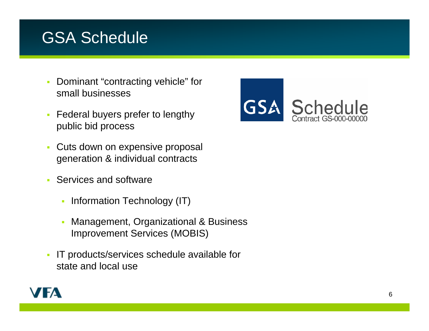### GSA Schedule

- ä, Dominant "contracting vehicle" for small businesses
- $\blacksquare$  Federal buyers prefer to lengthy public bid process
- $\overline{\mathcal{L}}$  Cuts down on expensive proposal generation & individual contracts
- Services and software
	- a, Information Technology (IT)
	- Management, Organizational & Business Improvement Services (MOBIS)
- IT products/services schedule available for state and local use



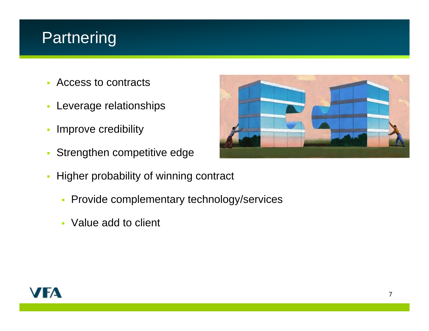### **Partnering**

- $\overline{\mathbb{R}}$ Access to contracts
- $\overline{\mathbb{Z}}$ Leverage relationships
- $\overline{\phantom{a}}$ Improve credibility
- Ù, Strengthen competitive edge
- $\overline{\phantom{a}}$  Higher probability of winning contract
	- **Provide complementary technology/services**
	- Value add to client



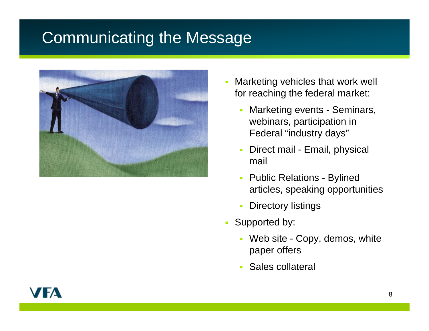### Communicating the Message



- è Marketing vehicles that work well for reaching the federal market:
	- $\overline{\phantom{a}}$  Marketing events - Seminars, webinars, participation in Federal "industry days"
	- $\overline{\phantom{a}}$  Direct mail - Email, physical mail
	- $\mathcal{L}_{\mathcal{A}}$  Public Relations - Bylined articles, speaking opportunities
	- $\overline{\phantom{a}}$ Directory listings
- $\mathbf{r}$  Supported by:
	- Web site Copy, demos, white paper offers
	- Sales collateral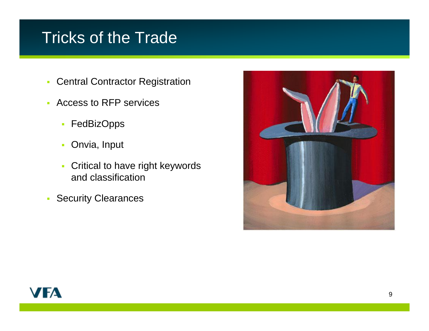### Tricks of the Trade

- $\mathbf{r}$ Central Contractor Registration
- $\mathbf{r}$  Access to RFP services
	- **FedBizOpps**
	- $\blacksquare$ Onvia, Input
	- a, Critical to have right keywords and classification
- $\blacksquare$ Security Clearances



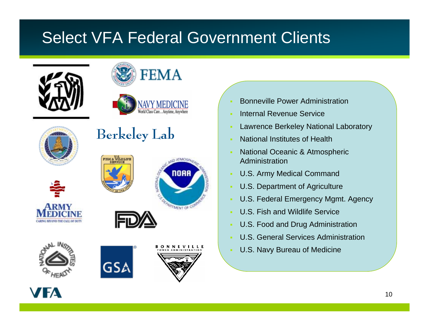## Select VFA Federal Government Clients









### **Berkeley Lab**













- Bonneville Power Administration
- Internal Revenue Service
- Lawrence Berkeley National Laboratory
- National Institutes of Health
- i. National Oceanic & Atmospheric Administration
- j. U.S. Army Medical Command
- × U.S. Department of Agriculture
- i. U.S. Federal Emergency Mgmt. Agency
- U.S. Fish and Wildlife Service
- r. U.S. Food and Drug Administration
- i. U.S. General Services Administration
- U.S. Navy Bureau of Medicine

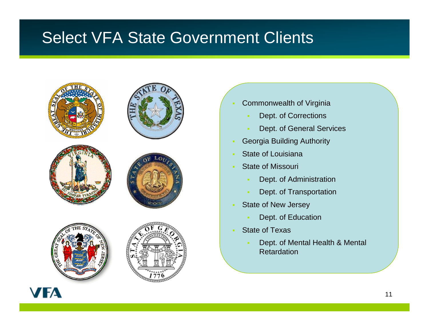### Select VFA State Government Clients













- Commonwealth of Virginia
	- Dept. of Corrections
	- Dept. of General Services
- Georgia Building Authority
- State of Louisiana
- State of Missouri
	- Dept. of Administration
	- Dept. of Transportation
- State of New Jersey
	- Dept. of Education
- State of Texas
	- Dept. of Mental Health & Mental Retardation